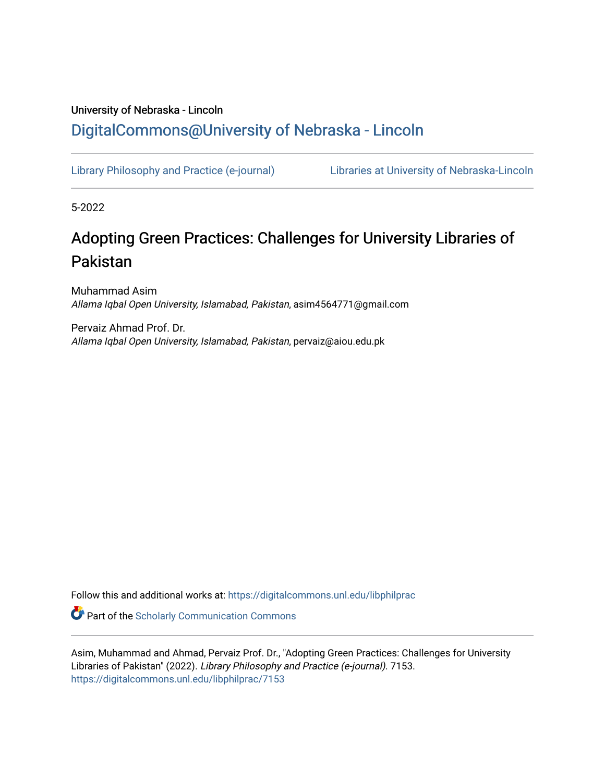# University of Nebraska - Lincoln [DigitalCommons@University of Nebraska - Lincoln](https://digitalcommons.unl.edu/)

[Library Philosophy and Practice \(e-journal\)](https://digitalcommons.unl.edu/libphilprac) [Libraries at University of Nebraska-Lincoln](https://digitalcommons.unl.edu/libraries) 

5-2022

# Adopting Green Practices: Challenges for University Libraries of Pakistan

Muhammad Asim Allama Iqbal Open University, Islamabad, Pakistan, asim4564771@gmail.com

Pervaiz Ahmad Prof. Dr. Allama Iqbal Open University, Islamabad, Pakistan, pervaiz@aiou.edu.pk

Follow this and additional works at: [https://digitalcommons.unl.edu/libphilprac](https://digitalcommons.unl.edu/libphilprac?utm_source=digitalcommons.unl.edu%2Flibphilprac%2F7153&utm_medium=PDF&utm_campaign=PDFCoverPages) 

**C** Part of the Scholarly Communication Commons

Asim, Muhammad and Ahmad, Pervaiz Prof. Dr., "Adopting Green Practices: Challenges for University Libraries of Pakistan" (2022). Library Philosophy and Practice (e-journal). 7153. [https://digitalcommons.unl.edu/libphilprac/7153](https://digitalcommons.unl.edu/libphilprac/7153?utm_source=digitalcommons.unl.edu%2Flibphilprac%2F7153&utm_medium=PDF&utm_campaign=PDFCoverPages)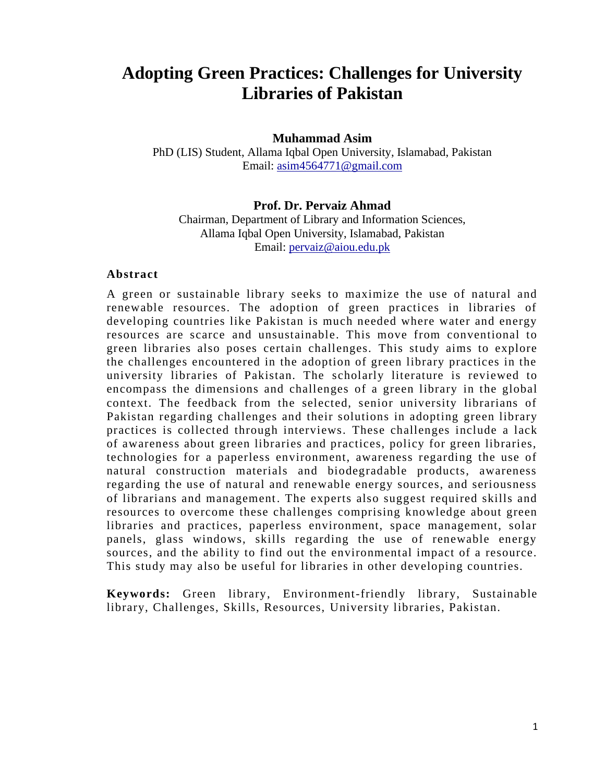# **Adopting Green Practices: Challenges for University Libraries of Pakistan**

# **Muhammad Asim**

PhD (LIS) Student, Allama Iqbal Open University, Islamabad, Pakistan Email: [asim4564771@gmail.com](mailto:asim4564771@gmail.com)

# **Prof. Dr. Pervaiz Ahmad**

Chairman, Department of Library and Information Sciences, Allama Iqbal Open University, Islamabad, Pakistan Email: [pervaiz@aiou.edu.pk](mailto:pervaiz@aiou.edu.pk)

# **Abstract**

A green or sustainable library seeks to maximize the use of natural and renewable resources. The adoption of green practices in libraries of developing countries like Pakistan is much needed where water and energy resources are scarce and unsustainable. This move from conventional to green libraries also poses certain challenges. This study aims to explore the challenges encountered in the adoption of green library practices in the university libraries of Pakistan. The scholarly literature is reviewed to encompass the dimensions and challenges of a green library in the global context. The feedback from the selected, senior university librarians of Pakistan regarding challenges and their solutions in adopting green library practices is collected through interviews. These challenges include a lack of awareness about green libraries and practices, policy for green libraries, technologies for a paperless environment, awareness regarding the use of natural construction materials and biodegradable products, awareness regarding the use of natural and renewable energy sources, and seriousness of librarians and management. The experts also suggest required skills and resources to overcome these challenges comprising knowledge about green libraries and practices, paperless environment, space management, solar panels, glass windows, skills regarding the use of renewable energy sources, and the ability to find out the environmental impact of a resource. This study may also be useful for libraries in other developing countries.

**Keywords:** Green library, Environment-friendly library, Sustainable library, Challenges, Skills, Resources, University libraries, Pakistan.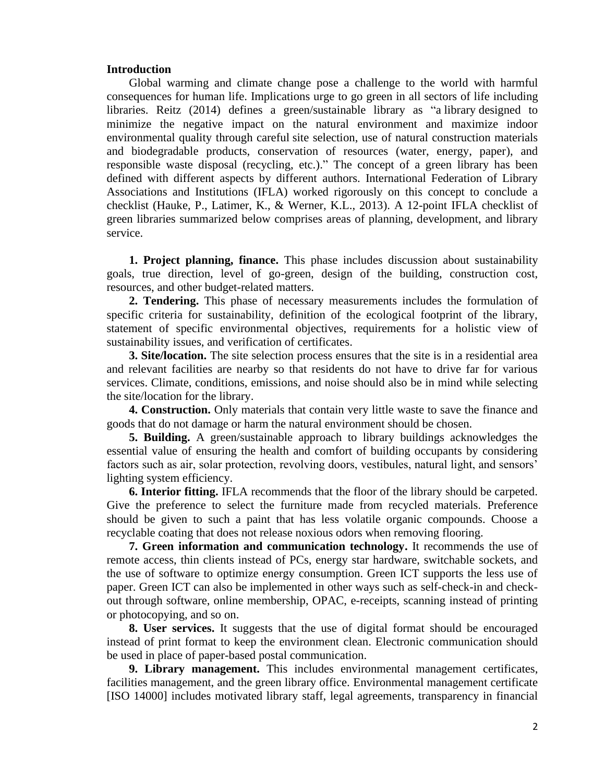#### **Introduction**

Global warming and climate change pose a challenge to the world with harmful consequences for human life. Implications urge to go green in all sectors of life including libraries. Reitz (2014) defines a green/sustainable library as "a library designed to minimize the negative impact on the natural environment and maximize indoor environmental quality through careful site selection, use of natural construction materials and biodegradable products, conservation of resources (water, energy, paper), and responsible waste disposal (recycling, etc.)." The concept of a green library has been defined with different aspects by different authors. International Federation of Library Associations and Institutions (IFLA) worked rigorously on this concept to conclude a checklist (Hauke, P., Latimer, K., & Werner, K.L., 2013). A 12-point IFLA checklist of green libraries summarized below comprises areas of planning, development, and library service.

**1. Project planning, finance.** This phase includes discussion about sustainability goals, true direction, level of go-green, design of the building, construction cost, resources, and other budget-related matters.

**2. Tendering.** This phase of necessary measurements includes the formulation of specific criteria for sustainability, definition of the ecological footprint of the library, statement of specific environmental objectives, requirements for a holistic view of sustainability issues, and verification of certificates.

**3. Site/location.** The site selection process ensures that the site is in a residential area and relevant facilities are nearby so that residents do not have to drive far for various services. Climate, conditions, emissions, and noise should also be in mind while selecting the site/location for the library.

**4. Construction.** Only materials that contain very little waste to save the finance and goods that do not damage or harm the natural environment should be chosen.

**5. Building.** A green/sustainable approach to library buildings acknowledges the essential value of ensuring the health and comfort of building occupants by considering factors such as air, solar protection, revolving doors, vestibules, natural light, and sensors' lighting system efficiency.

**6. Interior fitting.** IFLA recommends that the floor of the library should be carpeted. Give the preference to select the furniture made from recycled materials. Preference should be given to such a paint that has less volatile organic compounds. Choose a recyclable coating that does not release noxious odors when removing flooring.

**7. Green information and communication technology.** It recommends the use of remote access, thin clients instead of PCs, energy star hardware, switchable sockets, and the use of software to optimize energy consumption. Green ICT supports the less use of paper. Green ICT can also be implemented in other ways such as self-check-in and checkout through software, online membership, OPAC, e-receipts, scanning instead of printing or photocopying, and so on.

**8. User services.** It suggests that the use of digital format should be encouraged instead of print format to keep the environment clean. Electronic communication should be used in place of paper-based postal communication.

**9. Library management.** This includes environmental management certificates, facilities management, and the green library office. Environmental management certificate [ISO 14000] includes motivated library staff, legal agreements, transparency in financial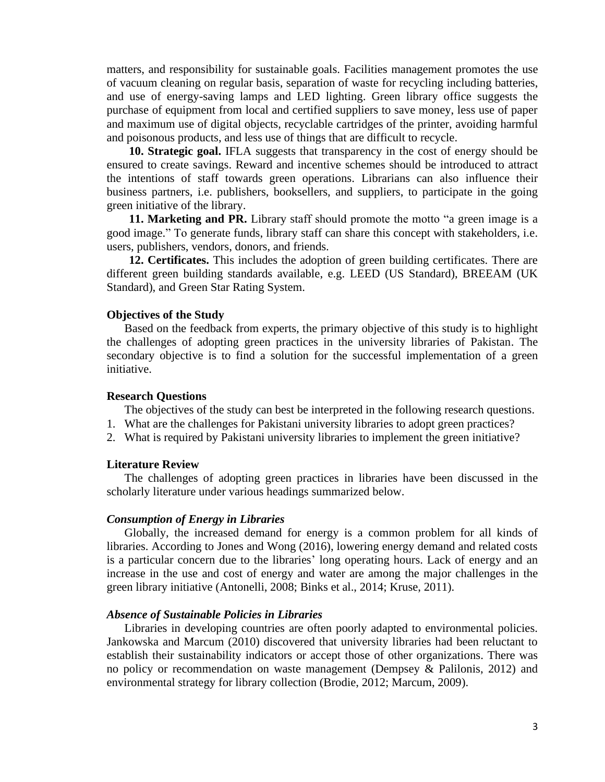matters, and responsibility for sustainable goals. Facilities management promotes the use of vacuum cleaning on regular basis, separation of waste for recycling including batteries, and use of energy-saving lamps and LED lighting. Green library office suggests the purchase of equipment from local and certified suppliers to save money, less use of paper and maximum use of digital objects, recyclable cartridges of the printer, avoiding harmful and poisonous products, and less use of things that are difficult to recycle.

**10. Strategic goal.** IFLA suggests that transparency in the cost of energy should be ensured to create savings. Reward and incentive schemes should be introduced to attract the intentions of staff towards green operations. Librarians can also influence their business partners, i.e. publishers, booksellers, and suppliers, to participate in the going green initiative of the library.

**11. Marketing and PR.** Library staff should promote the motto "a green image is a good image." To generate funds, library staff can share this concept with stakeholders, i.e. users, publishers, vendors, donors, and friends.

**12. Certificates.** This includes the adoption of green building certificates. There are different green building standards available, e.g. LEED (US Standard), BREEAM (UK Standard), and Green Star Rating System.

#### **Objectives of the Study**

Based on the feedback from experts, the primary objective of this study is to highlight the challenges of adopting green practices in the university libraries of Pakistan. The secondary objective is to find a solution for the successful implementation of a green initiative.

# **Research Questions**

The objectives of the study can best be interpreted in the following research questions.

- 1. What are the challenges for Pakistani university libraries to adopt green practices?
- 2. What is required by Pakistani university libraries to implement the green initiative?

#### **Literature Review**

The challenges of adopting green practices in libraries have been discussed in the scholarly literature under various headings summarized below.

#### *Consumption of Energy in Libraries*

Globally, the increased demand for energy is a common problem for all kinds of libraries. According to Jones and Wong (2016), lowering energy demand and related costs is a particular concern due to the libraries' long operating hours. Lack of energy and an increase in the use and cost of energy and water are among the major challenges in the green library initiative (Antonelli, 2008; Binks et al., 2014; Kruse, 2011).

#### *Absence of Sustainable Policies in Libraries*

Libraries in developing countries are often poorly adapted to environmental policies. Jankowska and Marcum (2010) discovered that university libraries had been reluctant to establish their sustainability indicators or accept those of other organizations. There was no policy or recommendation on waste management (Dempsey & Palilonis, 2012) and environmental strategy for library collection (Brodie, 2012; Marcum, 2009).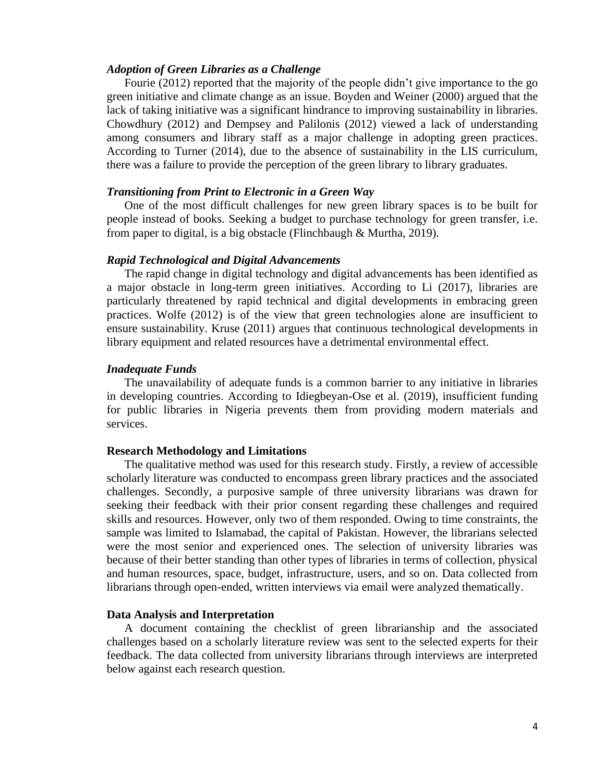# *Adoption of Green Libraries as a Challenge*

Fourie (2012) reported that the majority of the people didn't give importance to the go green initiative and climate change as an issue. Boyden and Weiner (2000) argued that the lack of taking initiative was a significant hindrance to improving sustainability in libraries. Chowdhury (2012) and Dempsey and Palilonis (2012) viewed a lack of understanding among consumers and library staff as a major challenge in adopting green practices. According to Turner (2014), due to the absence of sustainability in the LIS curriculum, there was a failure to provide the perception of the green library to library graduates.

# *Transitioning from Print to Electronic in a Green Way*

One of the most difficult challenges for new green library spaces is to be built for people instead of books. Seeking a budget to purchase technology for green transfer, i.e. from paper to digital, is a big obstacle (Flinchbaugh & Murtha, 2019).

#### *Rapid Technological and Digital Advancements*

The rapid change in digital technology and digital advancements has been identified as a major obstacle in long-term green initiatives. According to Li (2017), libraries are particularly threatened by rapid technical and digital developments in embracing green practices. Wolfe (2012) is of the view that green technologies alone are insufficient to ensure sustainability. Kruse (2011) argues that continuous technological developments in library equipment and related resources have a detrimental environmental effect.

#### *Inadequate Funds*

The unavailability of adequate funds is a common barrier to any initiative in libraries in developing countries. According to Idiegbeyan-Ose et al. (2019), insufficient funding for public libraries in Nigeria prevents them from providing modern materials and services.

# **Research Methodology and Limitations**

The qualitative method was used for this research study. Firstly, a review of accessible scholarly literature was conducted to encompass green library practices and the associated challenges. Secondly, a purposive sample of three university librarians was drawn for seeking their feedback with their prior consent regarding these challenges and required skills and resources. However, only two of them responded. Owing to time constraints, the sample was limited to Islamabad, the capital of Pakistan. However, the librarians selected were the most senior and experienced ones. The selection of university libraries was because of their better standing than other types of libraries in terms of collection, physical and human resources, space, budget, infrastructure, users, and so on. Data collected from librarians through open-ended, written interviews via email were analyzed thematically.

#### **Data Analysis and Interpretation**

A document containing the checklist of green librarianship and the associated challenges based on a scholarly literature review was sent to the selected experts for their feedback. The data collected from university librarians through interviews are interpreted below against each research question.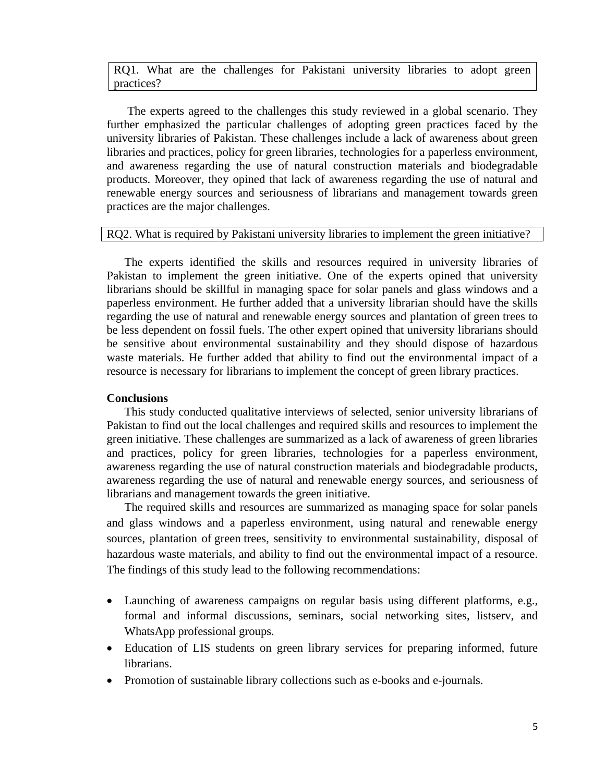RQ1. What are the challenges for Pakistani university libraries to adopt green practices?

The experts agreed to the challenges this study reviewed in a global scenario. They further emphasized the particular challenges of adopting green practices faced by the university libraries of Pakistan. These challenges include a lack of awareness about green libraries and practices, policy for green libraries, technologies for a paperless environment, and awareness regarding the use of natural construction materials and biodegradable products. Moreover, they opined that lack of awareness regarding the use of natural and renewable energy sources and seriousness of librarians and management towards green practices are the major challenges.

# RQ2. What is required by Pakistani university libraries to implement the green initiative?

The experts identified the skills and resources required in university libraries of Pakistan to implement the green initiative. One of the experts opined that university librarians should be skillful in managing space for solar panels and glass windows and a paperless environment. He further added that a university librarian should have the skills regarding the use of natural and renewable energy sources and plantation of green trees to be less dependent on fossil fuels. The other expert opined that university librarians should be sensitive about environmental sustainability and they should dispose of hazardous waste materials. He further added that ability to find out the environmental impact of a resource is necessary for librarians to implement the concept of green library practices.

# **Conclusions**

This study conducted qualitative interviews of selected, senior university librarians of Pakistan to find out the local challenges and required skills and resources to implement the green initiative. These challenges are summarized as a lack of awareness of green libraries and practices, policy for green libraries, technologies for a paperless environment, awareness regarding the use of natural construction materials and biodegradable products, awareness regarding the use of natural and renewable energy sources, and seriousness of librarians and management towards the green initiative.

The required skills and resources are summarized as managing space for solar panels and glass windows and a paperless environment, using natural and renewable energy sources, plantation of green trees, sensitivity to environmental sustainability, disposal of hazardous waste materials, and ability to find out the environmental impact of a resource. The findings of this study lead to the following recommendations:

- Launching of awareness campaigns on regular basis using different platforms, e.g., formal and informal discussions, seminars, social networking sites, listserv, and WhatsApp professional groups.
- Education of LIS students on green library services for preparing informed, future librarians.
- Promotion of sustainable library collections such as e-books and e-journals.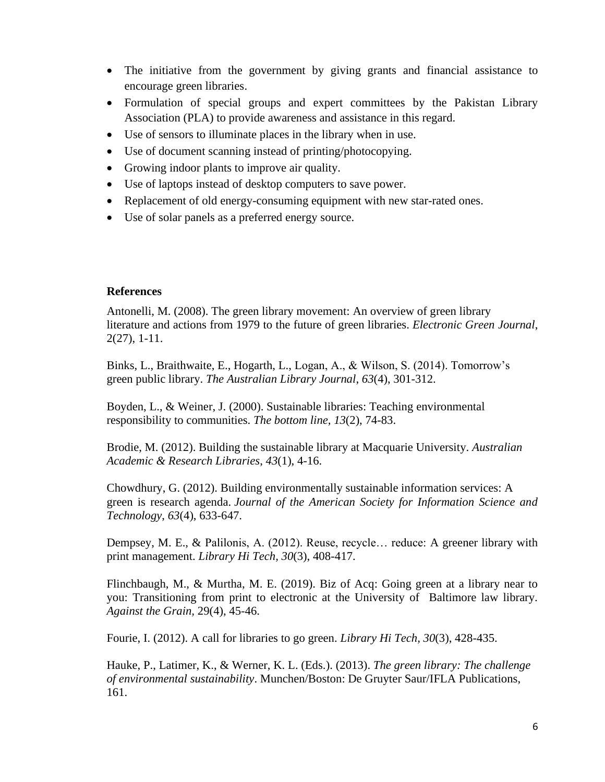- The initiative from the government by giving grants and financial assistance to encourage green libraries.
- Formulation of special groups and expert committees by the Pakistan Library Association (PLA) to provide awareness and assistance in this regard.
- Use of sensors to illuminate places in the library when in use.
- Use of document scanning instead of printing/photocopying.
- Growing indoor plants to improve air quality.
- Use of laptops instead of desktop computers to save power.
- Replacement of old energy-consuming equipment with new star-rated ones.
- Use of solar panels as a preferred energy source.

# **References**

Antonelli, M. (2008). The green library movement: An overview of green library literature and actions from 1979 to the future of green libraries. *Electronic Green Journal*, 2(27), 1-11.

Binks, L., Braithwaite, E., Hogarth, L., Logan, A., & Wilson, S. (2014). Tomorrow's green public library. *The Australian Library Journal*, *63*(4), 301-312.

Boyden, L., & Weiner, J. (2000). Sustainable libraries: Teaching environmental responsibility to communities. *The bottom line, 13*(2), 74-83.

Brodie, M. (2012). Building the sustainable library at Macquarie University. *Australian Academic & Research Libraries*, *43*(1), 4-16.

Chowdhury, G. (2012). Building environmentally sustainable information services: A green is research agenda. *Journal of the American Society for Information Science and Technology*, *63*(4), 633-647.

Dempsey, M. E., & Palilonis, A. (2012). Reuse, recycle… reduce: A greener library with print management. *Library Hi Tech, 30*(3), 408-417.

Flinchbaugh, M., & Murtha, M. E. (2019). Biz of Acq: Going green at a library near to you: Transitioning from print to electronic at the University of Baltimore law library. *Against the Grain,* 29(4), 45-46.

Fourie, I. (2012). A call for libraries to go green. *Library Hi Tech, 30*(3), 428-435.

Hauke, P., Latimer, K., & Werner, K. L. (Eds.). (2013). *The green library: The challenge of environmental sustainability*. Munchen/Boston: De Gruyter Saur/IFLA Publications, 161.